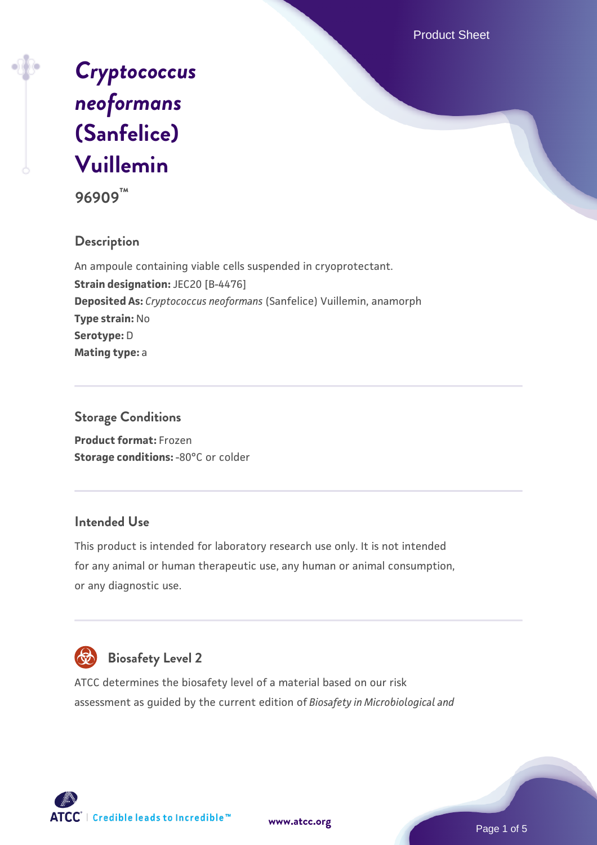Product Sheet



**96909™**

# **Description**

An ampoule containing viable cells suspended in cryoprotectant. **Strain designation: JEC20 [B-4476] Deposited As:** *Cryptococcus neoformans* (Sanfelice) Vuillemin, anamorph **Type strain:** No **Serotype:** D **Mating type:** a

# **Storage Conditions**

**Product format:** Frozen **Storage conditions: -80°C or colder** 

# **Intended Use**

This product is intended for laboratory research use only. It is not intended for any animal or human therapeutic use, any human or animal consumption, or any diagnostic use.



# **Biosafety Level 2**

ATCC determines the biosafety level of a material based on our risk assessment as guided by the current edition of *Biosafety in Microbiological and*





Page 1 of 5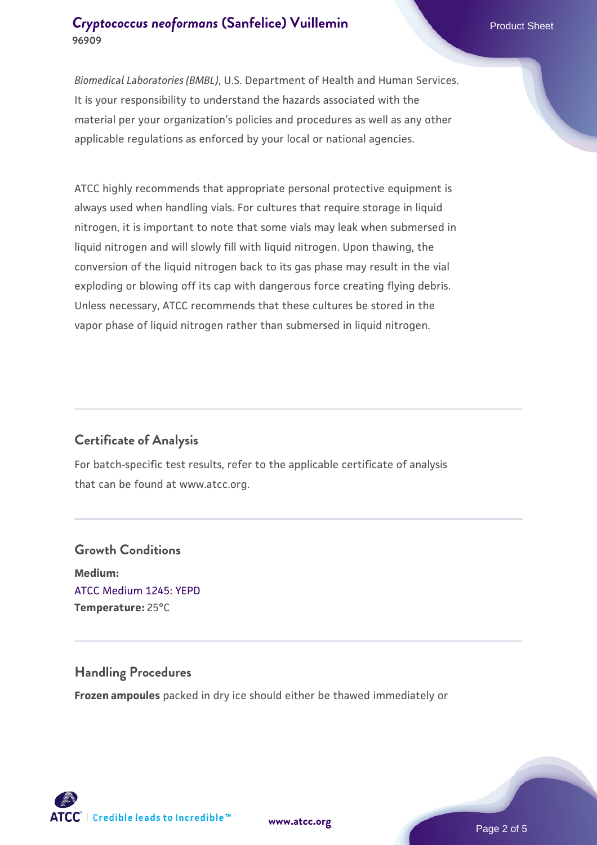# **[Cryptococcus neoformans](https://www.atcc.org/products/96909) [\(Sanfelice\) Vuillemin](https://www.atcc.org/products/96909)** Product Sheet **96909**

*Biomedical Laboratories (BMBL)*, U.S. Department of Health and Human Services. It is your responsibility to understand the hazards associated with the material per your organization's policies and procedures as well as any other applicable regulations as enforced by your local or national agencies.

ATCC highly recommends that appropriate personal protective equipment is always used when handling vials. For cultures that require storage in liquid nitrogen, it is important to note that some vials may leak when submersed in liquid nitrogen and will slowly fill with liquid nitrogen. Upon thawing, the conversion of the liquid nitrogen back to its gas phase may result in the vial exploding or blowing off its cap with dangerous force creating flying debris. Unless necessary, ATCC recommends that these cultures be stored in the vapor phase of liquid nitrogen rather than submersed in liquid nitrogen.

# **Certificate of Analysis**

For batch-specific test results, refer to the applicable certificate of analysis that can be found at www.atcc.org.

# **Growth Conditions Medium:**  [ATCC Medium 1245: YEPD](https://www.atcc.org/-/media/product-assets/documents/microbial-media-formulations/1/2/4/5/atcc-medium-1245.pdf?rev=705ca55d1b6f490a808a965d5c072196) **Temperature:** 25°C

### **Handling Procedures**

**Frozen ampoules** packed in dry ice should either be thawed immediately or



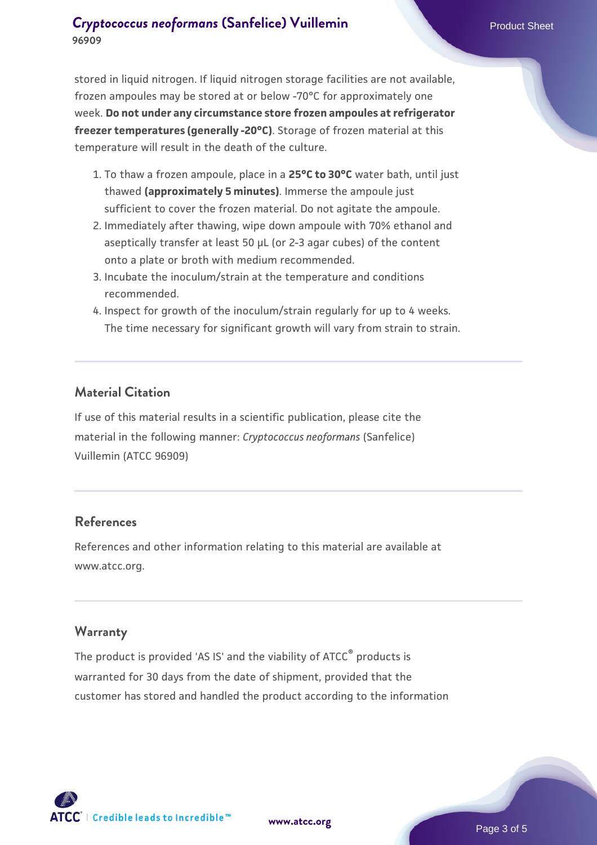# **[Cryptococcus neoformans](https://www.atcc.org/products/96909) [\(Sanfelice\) Vuillemin](https://www.atcc.org/products/96909)** Product Sheet **96909**

stored in liquid nitrogen. If liquid nitrogen storage facilities are not available, frozen ampoules may be stored at or below -70°C for approximately one week. **Do not under any circumstance store frozen ampoules at refrigerator freezer temperatures (generally -20°C)**. Storage of frozen material at this temperature will result in the death of the culture.

- 1. To thaw a frozen ampoule, place in a **25°C to 30°C** water bath, until just thawed **(approximately 5 minutes)**. Immerse the ampoule just sufficient to cover the frozen material. Do not agitate the ampoule.
- 2. Immediately after thawing, wipe down ampoule with 70% ethanol and aseptically transfer at least 50 µL (or 2-3 agar cubes) of the content onto a plate or broth with medium recommended.
- 3. Incubate the inoculum/strain at the temperature and conditions recommended.
- 4. Inspect for growth of the inoculum/strain regularly for up to 4 weeks. The time necessary for significant growth will vary from strain to strain.

# **Material Citation**

If use of this material results in a scientific publication, please cite the material in the following manner: *Cryptococcus neoformans* (Sanfelice) Vuillemin (ATCC 96909)

# **References**

References and other information relating to this material are available at www.atcc.org.

# **Warranty**

The product is provided 'AS IS' and the viability of ATCC® products is warranted for 30 days from the date of shipment, provided that the customer has stored and handled the product according to the information

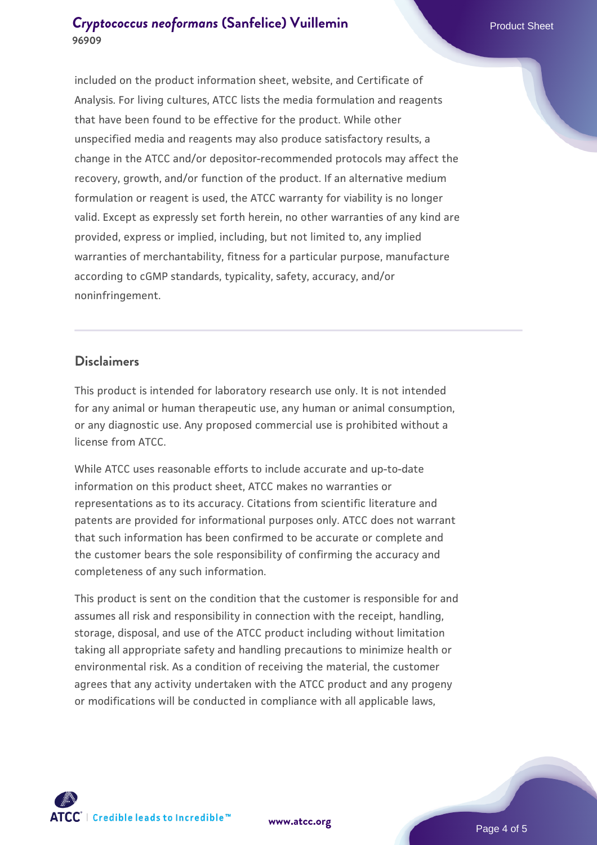# **[Cryptococcus neoformans](https://www.atcc.org/products/96909) [\(Sanfelice\) Vuillemin](https://www.atcc.org/products/96909)** Product Sheet **96909**

included on the product information sheet, website, and Certificate of Analysis. For living cultures, ATCC lists the media formulation and reagents that have been found to be effective for the product. While other unspecified media and reagents may also produce satisfactory results, a change in the ATCC and/or depositor-recommended protocols may affect the recovery, growth, and/or function of the product. If an alternative medium formulation or reagent is used, the ATCC warranty for viability is no longer valid. Except as expressly set forth herein, no other warranties of any kind are provided, express or implied, including, but not limited to, any implied warranties of merchantability, fitness for a particular purpose, manufacture according to cGMP standards, typicality, safety, accuracy, and/or noninfringement.

#### **Disclaimers**

This product is intended for laboratory research use only. It is not intended for any animal or human therapeutic use, any human or animal consumption, or any diagnostic use. Any proposed commercial use is prohibited without a license from ATCC.

While ATCC uses reasonable efforts to include accurate and up-to-date information on this product sheet, ATCC makes no warranties or representations as to its accuracy. Citations from scientific literature and patents are provided for informational purposes only. ATCC does not warrant that such information has been confirmed to be accurate or complete and the customer bears the sole responsibility of confirming the accuracy and completeness of any such information.

This product is sent on the condition that the customer is responsible for and assumes all risk and responsibility in connection with the receipt, handling, storage, disposal, and use of the ATCC product including without limitation taking all appropriate safety and handling precautions to minimize health or environmental risk. As a condition of receiving the material, the customer agrees that any activity undertaken with the ATCC product and any progeny or modifications will be conducted in compliance with all applicable laws,



**[www.atcc.org](http://www.atcc.org)**

Page 4 of 5